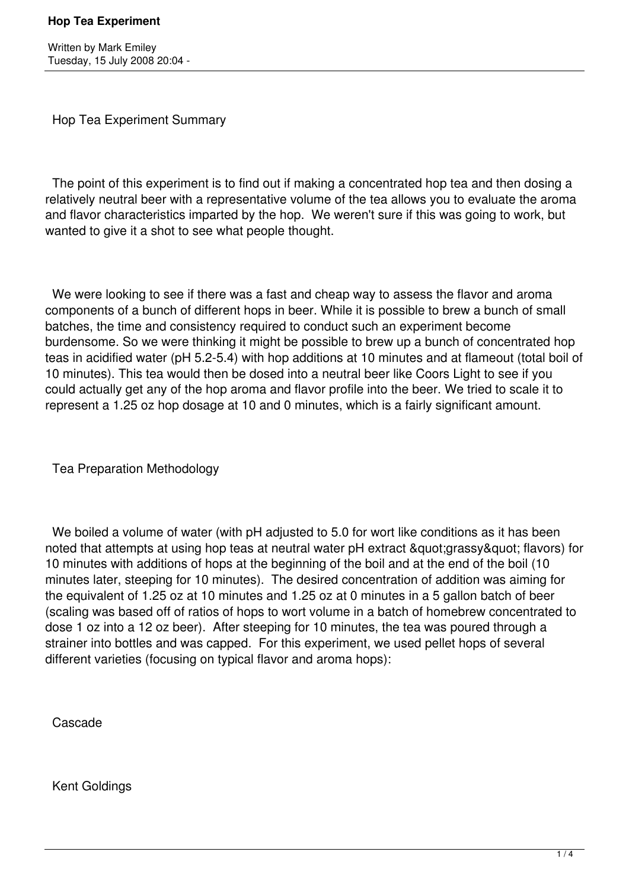Written by Mark Emiley Tuesday, 15 July 2008 20:04 -

Hop Tea Experiment Summary

 The point of this experiment is to find out if making a concentrated hop tea and then dosing a relatively neutral beer with a representative volume of the tea allows you to evaluate the aroma and flavor characteristics imparted by the hop. We weren't sure if this was going to work, but wanted to give it a shot to see what people thought.

 We were looking to see if there was a fast and cheap way to assess the flavor and aroma components of a bunch of different hops in beer. While it is possible to brew a bunch of small batches, the time and consistency required to conduct such an experiment become burdensome. So we were thinking it might be possible to brew up a bunch of concentrated hop teas in acidified water (pH 5.2-5.4) with hop additions at 10 minutes and at flameout (total boil of 10 minutes). This tea would then be dosed into a neutral beer like Coors Light to see if you could actually get any of the hop aroma and flavor profile into the beer. We tried to scale it to represent a 1.25 oz hop dosage at 10 and 0 minutes, which is a fairly significant amount.

Tea Preparation Methodology

We boiled a volume of water (with pH adjusted to 5.0 for wort like conditions as it has been noted that attempts at using hop teas at neutral water pH extract "grassy" flavors) for 10 minutes with additions of hops at the beginning of the boil and at the end of the boil (10 minutes later, steeping for 10 minutes). The desired concentration of addition was aiming for the equivalent of 1.25 oz at 10 minutes and 1.25 oz at 0 minutes in a 5 gallon batch of beer (scaling was based off of ratios of hops to wort volume in a batch of homebrew concentrated to dose 1 oz into a 12 oz beer). After steeping for 10 minutes, the tea was poured through a strainer into bottles and was capped. For this experiment, we used pellet hops of several different varieties (focusing on typical flavor and aroma hops):

Cascade

Kent Goldings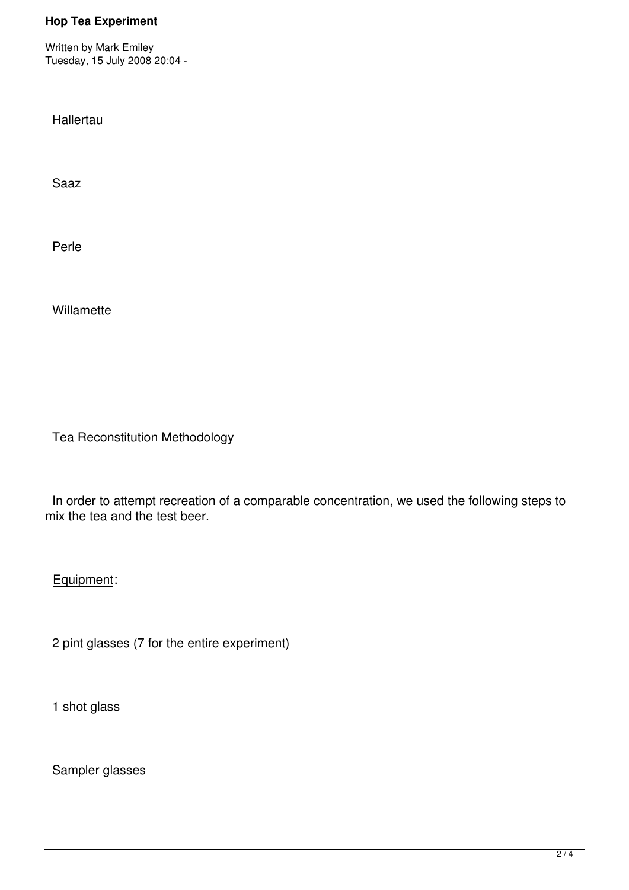Written by Mark Emiley Tuesday, 15 July 2008 20:04 -

**Hallertau** 

Saaz

Perle

**Willamette** 

Tea Reconstitution Methodology

 In order to attempt recreation of a comparable concentration, we used the following steps to mix the tea and the test beer.

Equipment:

2 pint glasses (7 for the entire experiment)

1 shot glass

Sampler glasses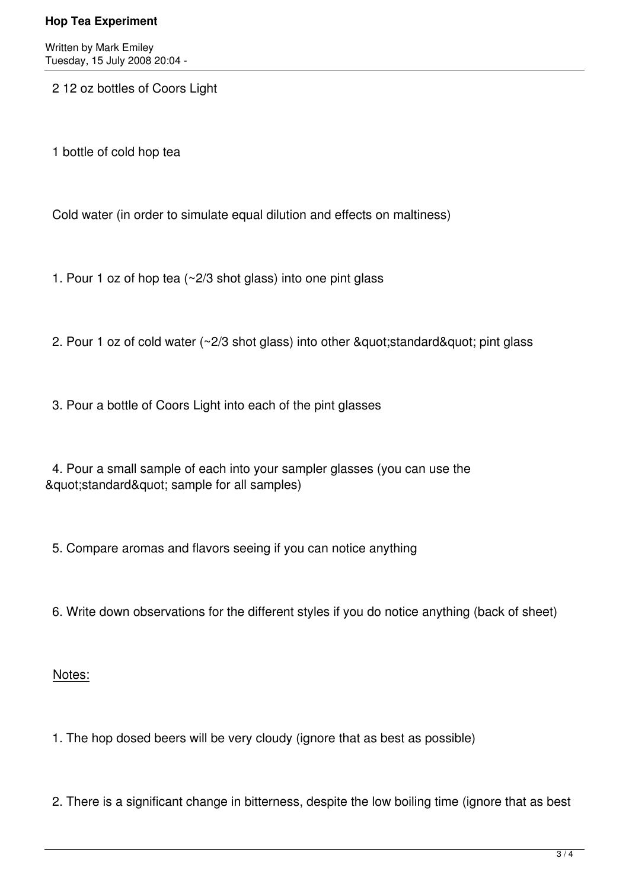Written by Mark Emiley Tuesday, 15 July 2008 20:04 -

2 12 oz bottles of Coors Light

1 bottle of cold hop tea

Cold water (in order to simulate equal dilution and effects on maltiness)

- 1. Pour 1 oz of hop tea (~2/3 shot glass) into one pint glass
- 2. Pour 1 oz of cold water  $(\sim 2/3$  shot glass) into other " standard" pint glass

3. Pour a bottle of Coors Light into each of the pint glasses

 4. Pour a small sample of each into your sampler glasses (you can use the & quot; standard & quot; sample for all samples)

5. Compare aromas and flavors seeing if you can notice anything

6. Write down observations for the different styles if you do notice anything (back of sheet)

Notes:

1. The hop dosed beers will be very cloudy (ignore that as best as possible)

2. There is a significant change in bitterness, despite the low boiling time (ignore that as best